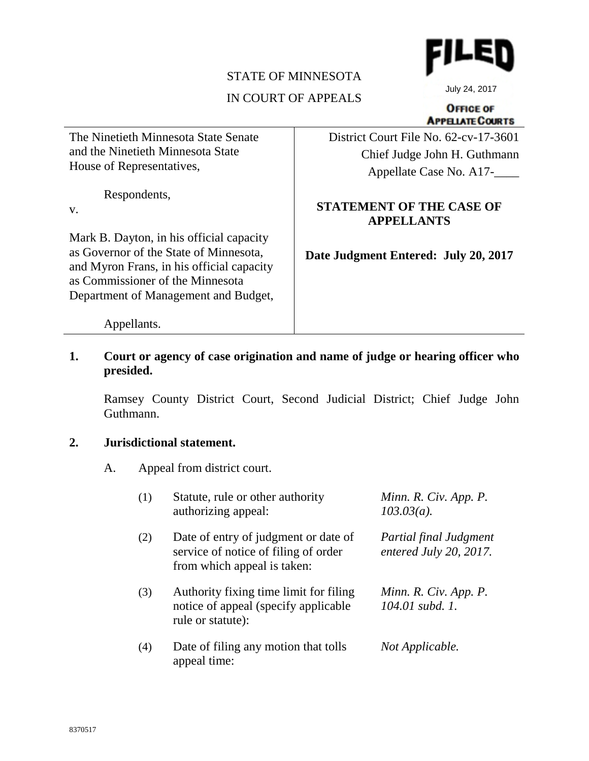### STATE OF MINNESOTA

## IN COURT OF APPEALS



July 24, 2017

**OFFICE OF APPELATE COURTS** 

The Ninetieth Minnesota State Senate and the Ninetieth Minnesota State House of Representatives,

Respondents,

v.

Mark B. Dayton, in his official capacity as Governor of the State of Minnesota, and Myron Frans, in his official capacity as Commissioner of the Minnesota Department of Management and Budget, District Court File No. 62-cv-17-3601 Chief Judge John H. Guthmann Appellate Case No. A17-\_\_\_\_

## **STATEMENT OF THE CASE OF APPELLANTS**

**Date Judgment Entered: July 20, 2017** 

Appellants.

# **1. Court or agency of case origination and name of judge or hearing officer who presided.**

Ramsey County District Court, Second Judicial District; Chief Judge John Guthmann.

## **2. Jurisdictional statement.**

A. Appeal from district court.

| (1) | Statute, rule or other authority<br>authorizing appeal:                                                     | Minn. R. Civ. App. P.<br>$103.03(a)$ .           |
|-----|-------------------------------------------------------------------------------------------------------------|--------------------------------------------------|
| (2) | Date of entry of judgment or date of<br>service of notice of filing of order<br>from which appeal is taken: | Partial final Judgment<br>entered July 20, 2017. |
| (3) | Authority fixing time limit for filing<br>notice of appeal (specify applicable)<br>rule or statute):        | Minn. R. Civ. App. P.<br>104.01 subd. 1.         |
| (4) | Date of filing any motion that tolls<br>appeal time:                                                        | Not Applicable.                                  |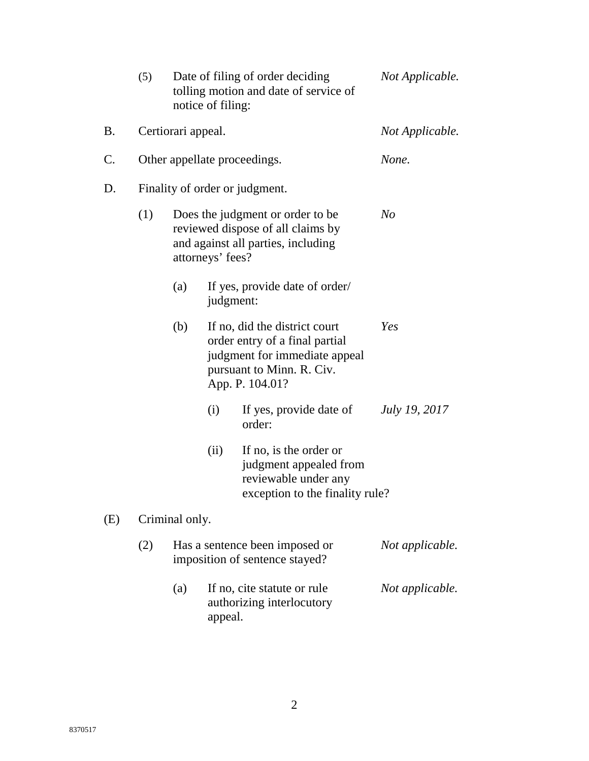|     | (5)            |                                                                  | notice of filing:                                                                                                               | Date of filing of order deciding<br>tolling motion and date of service of                                                                        | Not Applicable.      |  |  |
|-----|----------------|------------------------------------------------------------------|---------------------------------------------------------------------------------------------------------------------------------|--------------------------------------------------------------------------------------------------------------------------------------------------|----------------------|--|--|
| Β.  |                | Certiorari appeal.                                               |                                                                                                                                 | Not Applicable.                                                                                                                                  |                      |  |  |
| C.  |                | Other appellate proceedings.                                     |                                                                                                                                 | None.                                                                                                                                            |                      |  |  |
| D.  |                | Finality of order or judgment.                                   |                                                                                                                                 |                                                                                                                                                  |                      |  |  |
|     | (1)            |                                                                  | Does the judgment or order to be<br>reviewed dispose of all claims by<br>and against all parties, including<br>attorneys' fees? | N <sub>O</sub>                                                                                                                                   |                      |  |  |
|     |                | (a)                                                              | judgment:                                                                                                                       | If yes, provide date of order/                                                                                                                   |                      |  |  |
|     |                | (b)                                                              |                                                                                                                                 | If no, did the district court<br>order entry of a final partial<br>judgment for immediate appeal<br>pursuant to Minn. R. Civ.<br>App. P. 104.01? | Yes                  |  |  |
|     |                |                                                                  | (i)                                                                                                                             | If yes, provide date of<br>order:                                                                                                                | <i>July 19, 2017</i> |  |  |
|     |                |                                                                  | (ii)                                                                                                                            | If no, is the order or<br>judgment appealed from<br>reviewable under any<br>exception to the finality rule?                                      |                      |  |  |
| (E) | Criminal only. |                                                                  |                                                                                                                                 |                                                                                                                                                  |                      |  |  |
|     | (2)            | Has a sentence been imposed or<br>imposition of sentence stayed? |                                                                                                                                 |                                                                                                                                                  | Not applicable.      |  |  |
|     |                | (a)                                                              | appeal.                                                                                                                         | If no, cite statute or rule<br>authorizing interlocutory                                                                                         | Not applicable.      |  |  |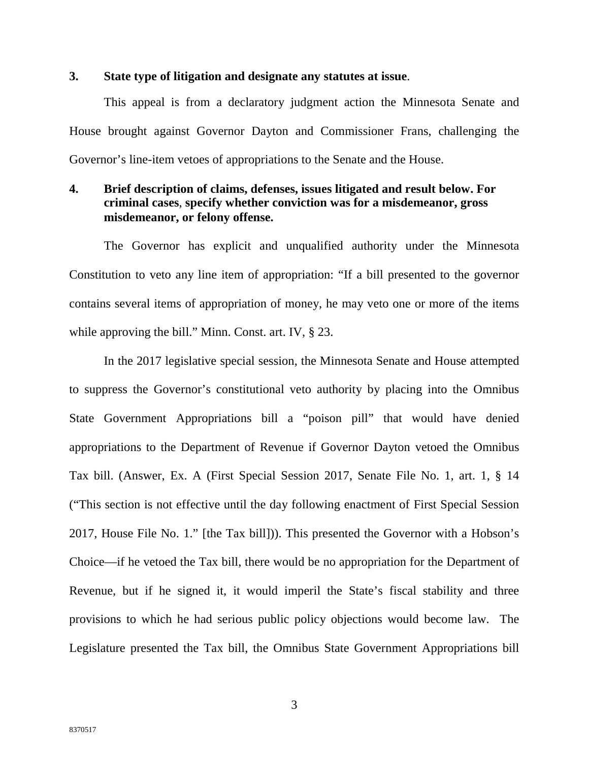#### **3. State type of litigation and designate any statutes at issue**.

This appeal is from a declaratory judgment action the Minnesota Senate and House brought against Governor Dayton and Commissioner Frans, challenging the Governor's line-item vetoes of appropriations to the Senate and the House.

#### **4. Brief description of claims, defenses, issues litigated and result below. For criminal cases**, **specify whether conviction was for a misdemeanor, gross misdemeanor, or felony offense.**

The Governor has explicit and unqualified authority under the Minnesota Constitution to veto any line item of appropriation: "If a bill presented to the governor contains several items of appropriation of money, he may veto one or more of the items while approving the bill." Minn. Const. art. IV, § 23.

In the 2017 legislative special session, the Minnesota Senate and House attempted to suppress the Governor's constitutional veto authority by placing into the Omnibus State Government Appropriations bill a "poison pill" that would have denied appropriations to the Department of Revenue if Governor Dayton vetoed the Omnibus Tax bill. (Answer, Ex. A (First Special Session 2017, Senate File No. 1, art. 1, § 14 ("This section is not effective until the day following enactment of First Special Session 2017, House File No. 1." [the Tax bill])). This presented the Governor with a Hobson's Choice—if he vetoed the Tax bill, there would be no appropriation for the Department of Revenue, but if he signed it, it would imperil the State's fiscal stability and three provisions to which he had serious public policy objections would become law. The Legislature presented the Tax bill, the Omnibus State Government Appropriations bill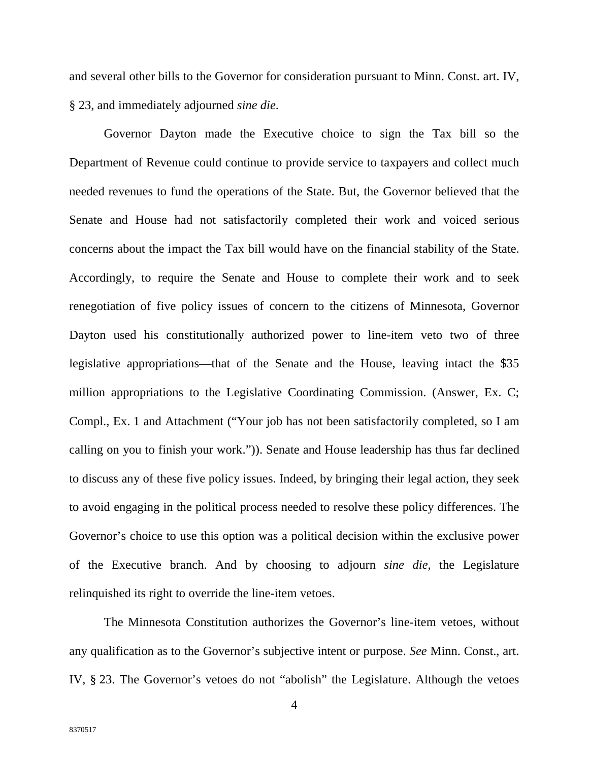and several other bills to the Governor for consideration pursuant to Minn. Const. art. IV, § 23, and immediately adjourned *sine die*.

Governor Dayton made the Executive choice to sign the Tax bill so the Department of Revenue could continue to provide service to taxpayers and collect much needed revenues to fund the operations of the State. But, the Governor believed that the Senate and House had not satisfactorily completed their work and voiced serious concerns about the impact the Tax bill would have on the financial stability of the State. Accordingly, to require the Senate and House to complete their work and to seek renegotiation of five policy issues of concern to the citizens of Minnesota, Governor Dayton used his constitutionally authorized power to line-item veto two of three legislative appropriations—that of the Senate and the House, leaving intact the \$35 million appropriations to the Legislative Coordinating Commission. (Answer, Ex. C; Compl., Ex. 1 and Attachment ("Your job has not been satisfactorily completed, so I am calling on you to finish your work.")). Senate and House leadership has thus far declined to discuss any of these five policy issues. Indeed, by bringing their legal action, they seek to avoid engaging in the political process needed to resolve these policy differences. The Governor's choice to use this option was a political decision within the exclusive power of the Executive branch. And by choosing to adjourn *sine die*, the Legislature relinquished its right to override the line-item vetoes.

The Minnesota Constitution authorizes the Governor's line-item vetoes, without any qualification as to the Governor's subjective intent or purpose. *See* Minn. Const., art. IV, § 23. The Governor's vetoes do not "abolish" the Legislature. Although the vetoes

4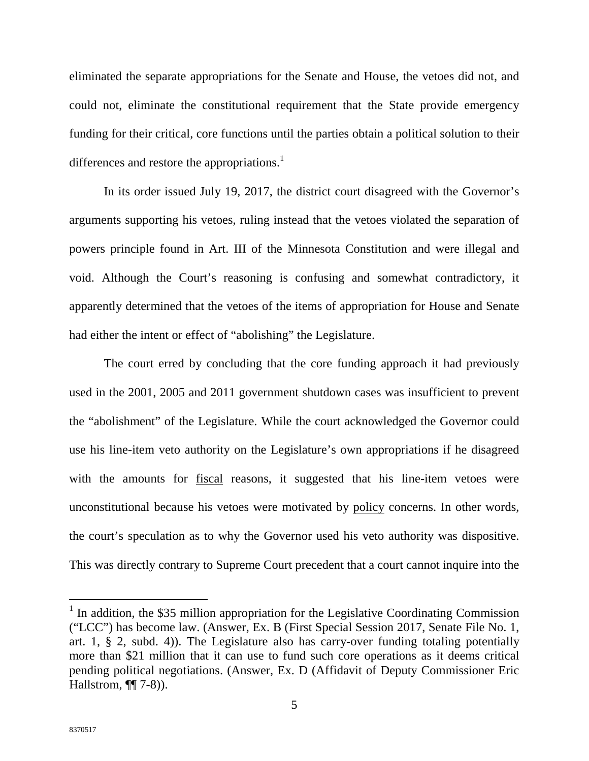eliminated the separate appropriations for the Senate and House, the vetoes did not, and could not, eliminate the constitutional requirement that the State provide emergency funding for their critical, core functions until the parties obtain a political solution to their differences and restore the appropriations.<sup>[1](#page-4-0)</sup>

In its order issued July 19, 2017, the district court disagreed with the Governor's arguments supporting his vetoes, ruling instead that the vetoes violated the separation of powers principle found in Art. III of the Minnesota Constitution and were illegal and void. Although the Court's reasoning is confusing and somewhat contradictory, it apparently determined that the vetoes of the items of appropriation for House and Senate had either the intent or effect of "abolishing" the Legislature.

The court erred by concluding that the core funding approach it had previously used in the 2001, 2005 and 2011 government shutdown cases was insufficient to prevent the "abolishment" of the Legislature. While the court acknowledged the Governor could use his line-item veto authority on the Legislature's own appropriations if he disagreed with the amounts for <u>fiscal</u> reasons, it suggested that his line-item vetoes were unconstitutional because his vetoes were motivated by policy concerns. In other words, the court's speculation as to why the Governor used his veto authority was dispositive. This was directly contrary to Supreme Court precedent that a court cannot inquire into the

<span id="page-4-0"></span><sup>&</sup>lt;sup>1</sup> In addition, the \$35 million appropriation for the Legislative Coordinating Commission ("LCC") has become law. (Answer, Ex. B (First Special Session 2017, Senate File No. 1, art. 1, § 2, subd. 4)). The Legislature also has carry-over funding totaling potentially more than \$21 million that it can use to fund such core operations as it deems critical pending political negotiations. (Answer, Ex. D (Affidavit of Deputy Commissioner Eric Hallstrom,  $\P$ [7-8)).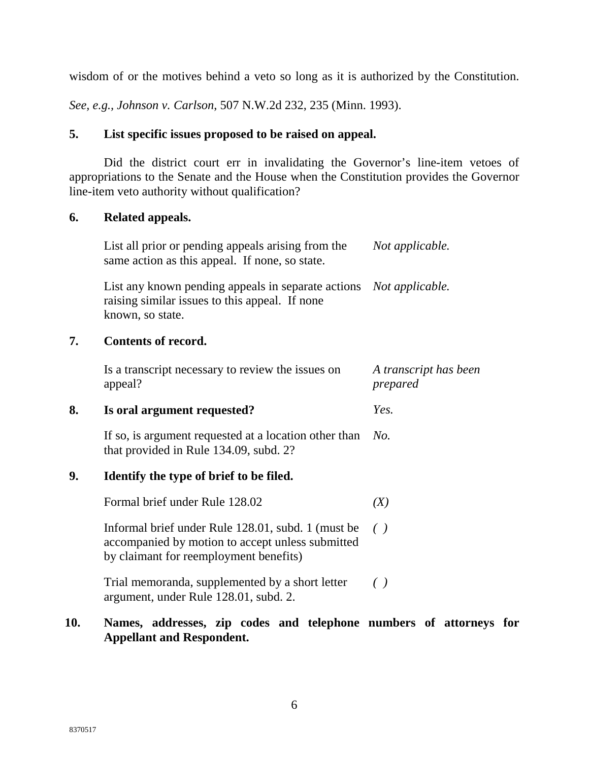wisdom of or the motives behind a veto so long as it is authorized by the Constitution.

*See, e.g., Johnson v. Carlson*, 507 N.W.2d 232, 235 (Minn. 1993).

## **5. List specific issues proposed to be raised on appeal.**

Did the district court err in invalidating the Governor's line-item vetoes of appropriations to the Senate and the House when the Constitution provides the Governor line-item veto authority without qualification?

### **6. Related appeals.**

|    | List all prior or pending appeals arising from the<br>same action as this appeal. If none, so state.                                             | Not applicable.                   |
|----|--------------------------------------------------------------------------------------------------------------------------------------------------|-----------------------------------|
|    | List any known pending appeals in separate actions Not applicable.<br>raising similar issues to this appeal. If none<br>known, so state.         |                                   |
| 7. | <b>Contents of record.</b>                                                                                                                       |                                   |
|    | Is a transcript necessary to review the issues on<br>appeal?                                                                                     | A transcript has been<br>prepared |
| 8. | Is oral argument requested?                                                                                                                      | Yes.                              |
|    | If so, is argument requested at a location other than<br>that provided in Rule 134.09, subd. 2?                                                  | No.                               |
| 9. | Identify the type of brief to be filed.                                                                                                          |                                   |
|    | Formal brief under Rule 128.02                                                                                                                   | (X)                               |
|    | Informal brief under Rule 128.01, subd. 1 (must be<br>accompanied by motion to accept unless submitted<br>by claimant for reemployment benefits) | ( )                               |
|    | Trial memoranda, supplemented by a short letter<br>argument, under Rule 128.01, subd. 2.                                                         | ( )                               |
|    |                                                                                                                                                  |                                   |

## **10. Names, addresses, zip codes and telephone numbers of attorneys for Appellant and Respondent.**